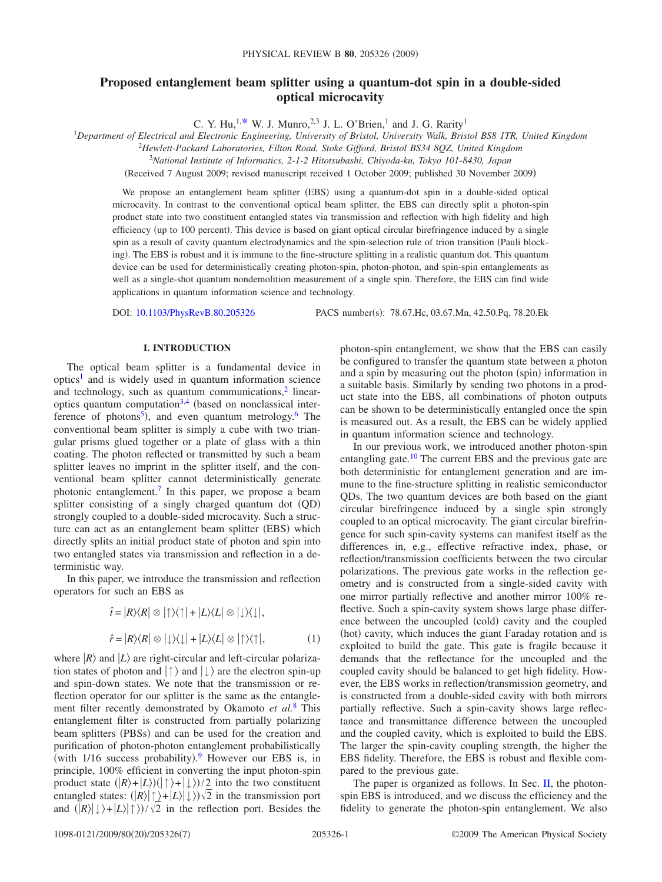# **Proposed entanglement beam splitter using a quantum-dot spin in a double-sided optical microcavity**

C. Y. Hu,<sup>1[,\\*](#page-5-0)</sup> W. J. Munro,<sup>2,3</sup> J. L. O'Brien,<sup>1</sup> and J. G. Rarity<sup>1</sup>

<sup>1</sup>*Department of Electrical and Electronic Engineering, University of Bristol, University Walk, Bristol BS8 1TR, United Kingdom*

2 *Hewlett-Packard Laboratories, Filton Road, Stoke Gifford, Bristol BS34 8QZ, United Kingdom*

<sup>3</sup>*National Institute of Informatics, 2-1-2 Hitotsubashi, Chiyoda-ku, Tokyo 101-8430, Japan*

Received 7 August 2009; revised manuscript received 1 October 2009; published 30 November 2009-

We propose an entanglement beam splitter (EBS) using a quantum-dot spin in a double-sided optical microcavity. In contrast to the conventional optical beam splitter, the EBS can directly split a photon-spin product state into two constituent entangled states via transmission and reflection with high fidelity and high efficiency (up to 100 percent). This device is based on giant optical circular birefringence induced by a single spin as a result of cavity quantum electrodynamics and the spin-selection rule of trion transition (Pauli blocking). The EBS is robust and it is immune to the fine-structure splitting in a realistic quantum dot. This quantum device can be used for deterministically creating photon-spin, photon-photon, and spin-spin entanglements as well as a single-shot quantum nondemolition measurement of a single spin. Therefore, the EBS can find wide applications in quantum information science and technology.

DOI: [10.1103/PhysRevB.80.205326](http://dx.doi.org/10.1103/PhysRevB.80.205326)

PACS number(s): 78.67.Hc, 03.67.Mn, 42.50.Pq, 78.20.Ek

### **I. INTRODUCTION**

The optical beam splitter is a fundamental device in  $optics<sup>1</sup>$  and is widely used in quantum information science and technology, such as quantum communications, $\frac{2}{3}$  linearoptics quantum computation $3,4$  $3,4$  (based on nonclassical interference of photons<sup>5</sup>), and even quantum metrology.<sup>6</sup> The conventional beam splitter is simply a cube with two triangular prisms glued together or a plate of glass with a thin coating. The photon reflected or transmitted by such a beam splitter leaves no imprint in the splitter itself, and the conventional beam splitter cannot deterministically generate photonic entanglement[.7](#page-5-7) In this paper, we propose a beam splitter consisting of a singly charged quantum dot (QD) strongly coupled to a double-sided microcavity. Such a structure can act as an entanglement beam splitter (EBS) which directly splits an initial product state of photon and spin into two entangled states via transmission and reflection in a deterministic way.

<span id="page-0-0"></span>In this paper, we introduce the transmission and reflection operators for such an EBS as

$$
\hat{t} = |R\rangle\langle R| \otimes |\uparrow\rangle\langle \uparrow| + |L\rangle\langle L| \otimes |\downarrow\rangle\langle \downarrow|,
$$
  

$$
\hat{r} = |R\rangle\langle R| \otimes |\downarrow\rangle\langle \downarrow| + |L\rangle\langle L| \otimes |\uparrow\rangle\langle \uparrow|, \tag{1}
$$

where  $|R\rangle$  and  $|L\rangle$  are right-circular and left-circular polarization states of photon and  $|\uparrow\rangle$  and  $|\downarrow\rangle$  are the electron spin-up and spin-down states. We note that the transmission or reflection operator for our splitter is the same as the entanglement filter recently demonstrated by Okamoto *et al.*[8](#page-5-8) This entanglement filter is constructed from partially polarizing beam splitters (PBSs) and can be used for the creation and purification of photon-photon entanglement probabilistically (with  $1/16$  success probability). However our EBS is, in principle, 100% efficient in converting the input photon-spin product state  $(|R\rangle + |L\rangle)(| \uparrow\rangle + | \downarrow\rangle)/2$  into the two constituent entangled states:  $(|R\rangle|\uparrow\rangle+|L\rangle|\downarrow\rangle)\sqrt{2}$  in the transmission port and  $(|R\rangle| \downarrow\rangle + |L\rangle| \uparrow\rangle)/\sqrt{2}$  in the reflection port. Besides the

photon-spin entanglement, we show that the EBS can easily be configured to transfer the quantum state between a photon and a spin by measuring out the photon (spin) information in a suitable basis. Similarly by sending two photons in a product state into the EBS, all combinations of photon outputs can be shown to be deterministically entangled once the spin is measured out. As a result, the EBS can be widely applied in quantum information science and technology.

In our previous work, we introduced another photon-spin entangling gate.<sup>10</sup> The current EBS and the previous gate are both deterministic for entanglement generation and are immune to the fine-structure splitting in realistic semiconductor QDs. The two quantum devices are both based on the giant circular birefringence induced by a single spin strongly coupled to an optical microcavity. The giant circular birefringence for such spin-cavity systems can manifest itself as the differences in, e.g., effective refractive index, phase, or reflection/transmission coefficients between the two circular polarizations. The previous gate works in the reflection geometry and is constructed from a single-sided cavity with one mirror partially reflective and another mirror 100% reflective. Such a spin-cavity system shows large phase difference between the uncoupled (cold) cavity and the coupled (hot) cavity, which induces the giant Faraday rotation and is exploited to build the gate. This gate is fragile because it demands that the reflectance for the uncoupled and the coupled cavity should be balanced to get high fidelity. However, the EBS works in reflection/transmission geometry, and is constructed from a double-sided cavity with both mirrors partially reflective. Such a spin-cavity shows large reflectance and transmittance difference between the uncoupled and the coupled cavity, which is exploited to build the EBS. The larger the spin-cavity coupling strength, the higher the EBS fidelity. Therefore, the EBS is robust and flexible compared to the previous gate.

The paper is organized as follows. In Sec. [II,](#page-1-0) the photonspin EBS is introduced, and we discuss the efficiency and the fidelity to generate the photon-spin entanglement. We also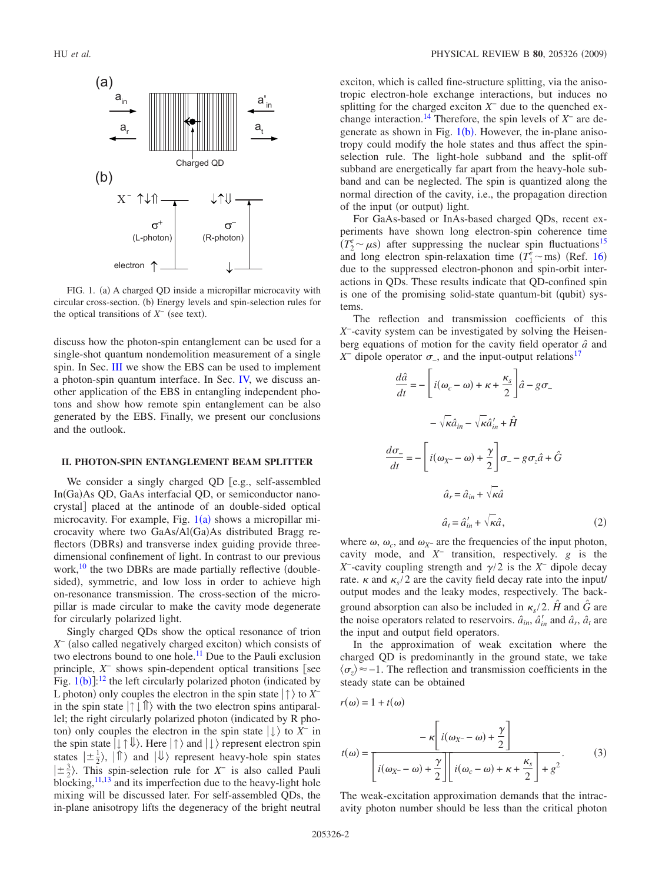<span id="page-1-1"></span>

FIG. 1. (a) A charged QD inside a micropillar microcavity with circular cross-section. (b) Energy levels and spin-selection rules for the optical transitions of  $X^-$  (see text).

discuss how the photon-spin entanglement can be used for a single-shot quantum nondemolition measurement of a single spin. In Sec. [III](#page-3-0) we show the EBS can be used to implement a photon-spin quantum interface. In Sec. [IV,](#page-4-0) we discuss another application of the EBS in entangling independent photons and show how remote spin entanglement can be also generated by the EBS. Finally, we present our conclusions and the outlook.

#### <span id="page-1-0"></span>**II. PHOTON-SPIN ENTANGLEMENT BEAM SPLITTER**

We consider a singly charged QD  $[e.g., self-assembled$ In(Ga)As QD, GaAs interfacial QD, or semiconductor nanocrystal] placed at the antinode of an double-sided optical microcavity. For example, Fig.  $1(a)$  $1(a)$  shows a micropillar microcavity where two GaAs/Al(Ga)As distributed Bragg reflectors (DBRs) and transverse index guiding provide threedimensional confinement of light. In contrast to our previous work, $^{10}$  the two DBRs are made partially reflective (doublesided), symmetric, and low loss in order to achieve high on-resonance transmission. The cross-section of the micropillar is made circular to make the cavity mode degenerate for circularly polarized light.

Singly charged QDs show the optical resonance of trion *X*<sup>−</sup> (also called negatively charged exciton) which consists of two electrons bound to one hole.<sup>11</sup> Due to the Pauli exclusion principle,  $X^-$  shows spin-dependent optical transitions [see Fig.  $1(b)$  $1(b)$ :<sup>[12](#page-5-12)</sup> the left circularly polarized photon (indicated by L photon) only couples the electron in the spin state  $|\uparrow\rangle$  to *X*<sup>−</sup> in the spin state  $|\uparrow \downarrow \uparrow \rangle$  with the two electron spins antiparallel; the right circularly polarized photon (indicated by R photon) only couples the electron in the spin state  $| \downarrow \rangle$  to  $X^-$  in the spin state  $| \downarrow \uparrow \Downarrow \rangle$ . Here  $| \uparrow \rangle$  and  $| \downarrow \rangle$  represent electron spin states  $|\pm \frac{1}{2}\rangle$ ,  $|\hat{\mathbb{I}}\rangle$  and  $|\hat{\mathbb{I}}\rangle$  represent heavy-hole spin states  $\left|\pm\frac{3}{2}\right\rangle$ . This spin-selection rule for *X*<sup>−</sup> is also called Pauli blocking, $11,13$  $11,13$  and its imperfection due to the heavy-light hole mixing will be discussed later. For self-assembled QDs, the in-plane anisotropy lifts the degeneracy of the bright neutral exciton, which is called fine-structure splitting, via the anisotropic electron-hole exchange interactions, but induces no splitting for the charged exciton *X*<sup>−</sup> due to the quenched exchange interaction[.14](#page-5-14) Therefore, the spin levels of *X*<sup>−</sup> are degenerate as shown in Fig.  $1(b)$  $1(b)$ . However, the in-plane anisotropy could modify the hole states and thus affect the spinselection rule. The light-hole subband and the split-off subband are energetically far apart from the heavy-hole subband and can be neglected. The spin is quantized along the normal direction of the cavity, i.e., the propagation direction of the input (or output) light.

For GaAs-based or InAs-based charged QDs, recent experiments have shown long electron-spin coherence time  $(T_2^e \sim \mu s)$  after suppressing the nuclear spin fluctuations<sup>15</sup> and long electron spin-relaxation time  $(T_1^e \sim ms)$  (Ref. [16](#page-5-16)) due to the suppressed electron-phonon and spin-orbit interactions in QDs. These results indicate that QD-confined spin is one of the promising solid-state quantum-bit (qubit) systems.

The reflection and transmission coefficients of this *X*<sup>−</sup>-cavity system can be investigated by solving the Heisenberg equations of motion for the cavity field operator *aˆ* and  $X^-$  dipole operator  $\sigma_$ , and the input-output relations<sup>17</sup>

$$
\frac{d\hat{a}}{dt} = -\left[i(\omega_c - \omega) + \kappa + \frac{\kappa_s}{2}\right]\hat{a} - g\sigma_{-} \n- \sqrt{\kappa}\hat{a}_{in} - \sqrt{\kappa}\hat{a}'_{in} + \hat{H}
$$
\n
$$
\frac{d\sigma_{-}}{dt} = -\left[i(\omega_{X^{-}} - \omega) + \frac{\gamma}{2}\right]\sigma_{-} - g\sigma_{z}\hat{a} + \hat{G}
$$
\n
$$
\hat{a}_r = \hat{a}_{in} + \sqrt{\kappa}\hat{a}
$$
\n
$$
\hat{a}_t = \hat{a}'_{in} + \sqrt{\kappa}\hat{a},
$$
\n(2)

where  $\omega$ ,  $\omega_c$ , and  $\omega_{X^-}$  are the frequencies of the input photon, cavity mode, and *X*<sup>−</sup> transition, respectively. *g* is the *X*<sup>−</sup>-cavity coupling strength and  $\gamma/2$  is the *X*<sup>−</sup> dipole decay rate.  $\kappa$  and  $\kappa$ <sub>s</sub>/2 are the cavity field decay rate into the input/ output modes and the leaky modes, respectively. The background absorption can also be included in  $\kappa_s/2$ .  $\hat{H}$  and  $\hat{G}$  are the noise operators related to reservoirs.  $\hat{a}_{in}$ ,  $\hat{a}'_{in}$  and  $\hat{a}_r$ ,  $\hat{a}_t$  are the input and output field operators.

In the approximation of weak excitation where the charged QD is predominantly in the ground state, we take  $\langle \sigma_z \rangle$  ≈ −1. The reflection and transmission coefficients in the steady state can be obtained

<span id="page-1-2"></span> $r(\omega) = 1 + t(\omega)$ 

$$
t(\omega) = \frac{-\kappa \left[i(\omega_{X^-} - \omega) + \frac{\gamma}{2}\right]}{\left[i(\omega_{X^-} - \omega) + \frac{\gamma}{2}\right] \left[i(\omega_c - \omega) + \kappa + \frac{\kappa_s}{2}\right] + g^2}.
$$
 (3)

The weak-excitation approximation demands that the intracavity photon number should be less than the critical photon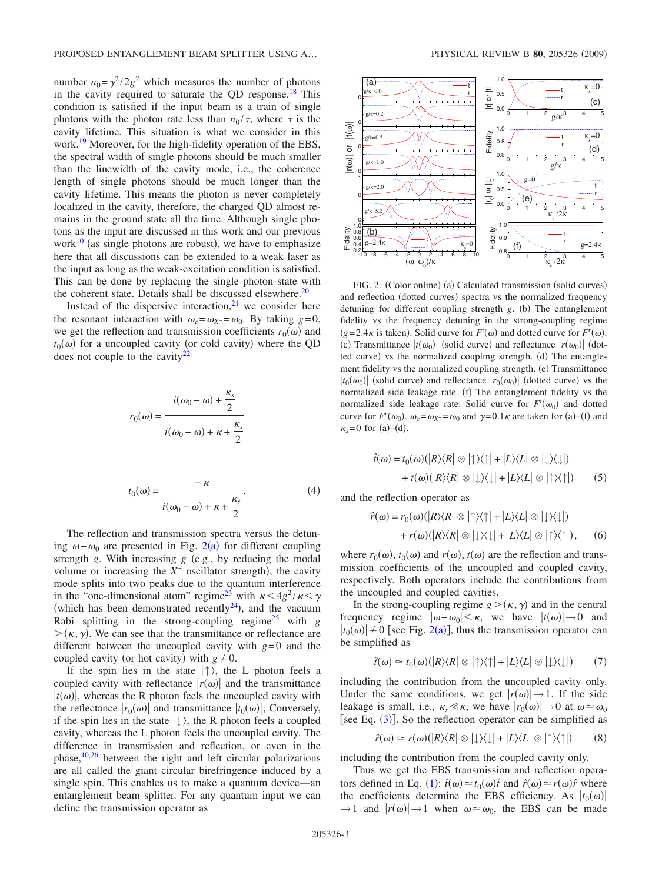number  $n_0 = \gamma^2 / 2g^2$  which measures the number of photons in the cavity required to saturate the QD response.<sup>18</sup> This condition is satisfied if the input beam is a train of single photons with the photon rate less than  $n_0 / \tau$ , where  $\tau$  is the cavity lifetime. This situation is what we consider in this work.<sup>19</sup> Moreover, for the high-fidelity operation of the EBS, the spectral width of single photons should be much smaller than the linewidth of the cavity mode, i.e., the coherence length of single photons should be much longer than the cavity lifetime. This means the photon is never completely localized in the cavity, therefore, the charged QD almost remains in the ground state all the time. Although single photons as the input are discussed in this work and our previous work $^{10}$  (as single photons are robust), we have to emphasize here that all discussions can be extended to a weak laser as the input as long as the weak-excitation condition is satisfied. This can be done by replacing the single photon state with the coherent state. Details shall be discussed elsewhere. $20$ 

Instead of the dispersive interaction, $2<sup>1</sup>$  we consider here the resonant interaction with  $\omega_c = \omega_{X} = \omega_0$ . By taking *g*=0, we get the reflection and transmission coefficients  $r_0(\omega)$  and  $t_0(\omega)$  for a uncoupled cavity (or cold cavity) where the QD does not couple to the cavity $22$ 

$$
i(\omega_0 - \omega) + \frac{\kappa_s}{2}
$$
  

$$
r_0(\omega) = \frac{i(\omega_0 - \omega) + \kappa + \frac{\kappa_s}{2}}{i(\omega_0 - \omega) + \kappa + \frac{\kappa_s}{2}}.
$$
  

$$
t_0(\omega) = \frac{-\kappa}{i(\omega_0 - \omega) + \kappa + \frac{\kappa_s}{2}}.
$$
 (4)

The reflection and transmission spectra versus the detuning  $\omega - \omega_0$  are presented in Fig. [2](#page-2-0)(a) for different coupling strength  $g$ . With increasing  $g$  (e.g., by reducing the modal volume or increasing the  $X^-$  oscillator strength), the cavity mode splits into two peaks due to the quantum interference in the "one-dimensional atom" regime<sup>23</sup> with  $\kappa < 4g^2 / \kappa < \gamma$ (which has been demonstrated recently $^{24}$ ), and the vacuum Rabi splitting in the strong-coupling regime<sup>25</sup> with  $g$  $>$  ( $\kappa$ ,  $\gamma$ ). We can see that the transmittance or reflectance are different between the uncoupled cavity with  $g=0$  and the coupled cavity (or hot cavity) with  $g \neq 0$ .

If the spin lies in the state  $|\uparrow\rangle$ , the L photon feels a coupled cavity with reflectance  $|r(\omega)|$  and the transmittance  $|t(\omega)|$ , whereas the R photon feels the uncoupled cavity with the reflectance  $|r_0(\omega)|$  and transmittance  $|t_0(\omega)|$ ; Conversely, if the spin lies in the state  $|\downarrow\rangle$ , the R photon feels a coupled cavity, whereas the L photon feels the uncoupled cavity. The difference in transmission and reflection, or even in the phase, $10,26$  $10,26$  between the right and left circular polarizations are all called the giant circular birefringence induced by a single spin. This enables us to make a quantum device—an entanglement beam splitter. For any quantum input we can define the transmission operator as

<span id="page-2-0"></span>

FIG. 2. (Color online) (a) Calculated transmission (solid curves) and reflection (dotted curves) spectra vs the normalized frequency detuning for different coupling strength *g*. (b) The entanglement fidelity vs the frequency detuning in the strong-coupling regime  $(g=2.4\kappa)$  is taken). Solid curve for  $F^t(\omega)$  and dotted curve for  $F^r(\omega)$ . (c) Transmittance  $|t(\omega_0)|$  (solid curve) and reflectance  $|r(\omega_0)|$  (dotted curve) vs the normalized coupling strength. (d) The entanglement fidelity vs the normalized coupling strength. (e) Transmittance  $|t_0(\omega_0)|$  (solid curve) and reflectance  $|r_0(\omega_0)|$  (dotted curve) vs the normalized side leakage rate. (f) The entanglement fidelity vs the normalized side leakage rate. Solid curve for  $F<sup>t</sup>(\omega_0)$  and dotted curve for  $F^r(\omega_0)$ .  $\omega_c = \omega_X = \omega_0$  and  $\gamma = 0.1 \kappa$  are taken for (a)–(f) and  $\kappa_s = 0$  for (a)–(d).

$$
\hat{t}(\omega) = t_0(\omega)(|R\rangle\langle R| \otimes |\uparrow\rangle\langle \uparrow| + |L\rangle\langle L| \otimes |\downarrow\rangle\langle \downarrow|)
$$
  
+ 
$$
t(\omega)(|R\rangle\langle R| \otimes |\downarrow\rangle\langle \downarrow| + |L\rangle\langle L| \otimes |\uparrow\rangle\langle \uparrow|)
$$
 (5)

and the reflection operator as

$$
\hat{r}(\omega) = r_0(\omega)(|R\rangle\langle R| \otimes |\uparrow\rangle\langle \uparrow| + |L\rangle\langle L| \otimes |\downarrow\rangle\langle \downarrow|)
$$
  
+ 
$$
r(\omega)(|R\rangle\langle R| \otimes |\downarrow\rangle\langle \downarrow| + |L\rangle\langle L| \otimes |\uparrow\rangle\langle \uparrow|), \qquad (6)
$$

where  $r_0(\omega)$ ,  $t_0(\omega)$  and  $r(\omega)$ ,  $t(\omega)$  are the reflection and transmission coefficients of the uncoupled and coupled cavity, respectively. Both operators include the contributions from the uncoupled and coupled cavities.

In the strong-coupling regime  $g > (\kappa, \gamma)$  and in the central frequency regime  $|\omega - \omega_0| < \kappa$ , we have  $|t(\omega)| \to 0$  and  $|t_0(\omega)| \neq 0$  [see Fig. [2](#page-2-0)(a)], thus the transmission operator can be simplified as

$$
\hat{t}(\omega) \simeq t_0(\omega)(|R\rangle\langle R| \otimes |\uparrow\rangle\langle \uparrow| + |L\rangle\langle L| \otimes |\downarrow\rangle\langle \downarrow|) \tag{7}
$$

including the contribution from the uncoupled cavity only. Under the same conditions, we get  $|r(\omega)| \rightarrow 1$ . If the side leakage is small, i.e.,  $\kappa_s \ll \kappa$ , we have  $|r_0(\omega)| \to 0$  at  $\omega \approx \omega_0$ [see Eq. ([3](#page-1-2))]. So the reflection operator can be simplified as

$$
\hat{r}(\omega) \simeq r(\omega)(|R\rangle\langle R| \otimes |\downarrow\rangle\langle \downarrow| + |L\rangle\langle L| \otimes |\uparrow\rangle\langle \uparrow|)
$$
 (8)

including the contribution from the coupled cavity only.

Thus we get the EBS transmission and reflection opera-tors defined in Eq. ([1](#page-0-0)):  $\hat{t}(\omega) \approx t_0(\omega)\hat{t}$  and  $\hat{r}(\omega) \approx r(\omega)\hat{r}$  where the coefficients determine the EBS efficiency. As  $|t_0(\omega)|$  $\rightarrow$  1 and  $|r(\omega)|$   $\rightarrow$  1 when  $\omega \approx \omega_0$ , the EBS can be made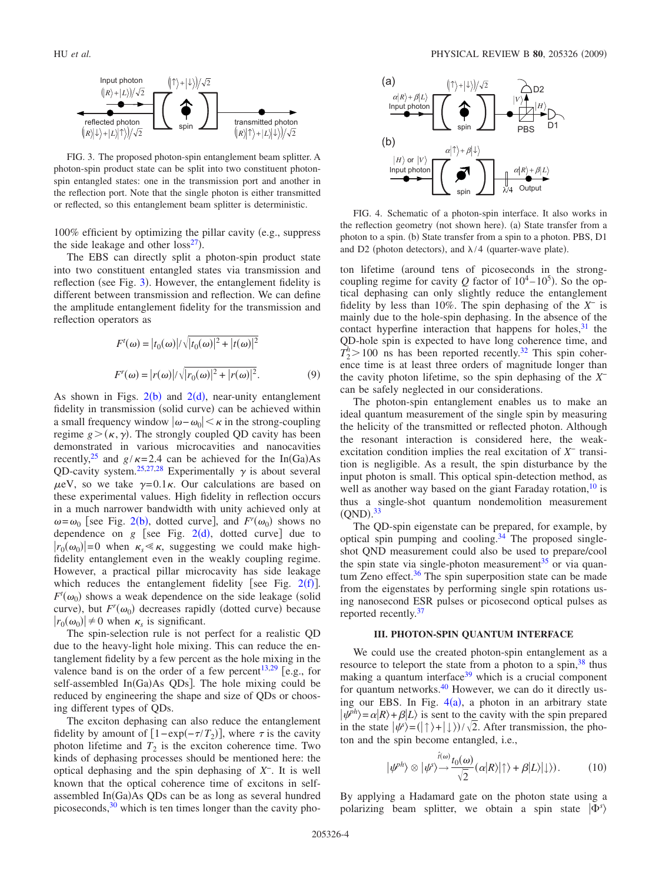<span id="page-3-1"></span>

FIG. 3. The proposed photon-spin entanglement beam splitter. A photon-spin product state can be split into two constituent photonspin entangled states: one in the transmission port and another in the reflection port. Note that the single photon is either transmitted or reflected, so this entanglement beam splitter is deterministic.

 $100\%$  efficient by optimizing the pillar cavity (e.g., suppress the side leakage and other  $loss^{27}$ ).

The EBS can directly split a photon-spin product state into two constituent entangled states via transmission and reflection (see Fig. [3](#page-3-1)). However, the entanglement fidelity is different between transmission and reflection. We can define the amplitude entanglement fidelity for the transmission and reflection operators as

$$
F^{t}(\omega) = |t_0(\omega)|/\sqrt{|t_0(\omega)|^2 + |t(\omega)|^2}
$$
  

$$
F^{r}(\omega) = |r(\omega)|/\sqrt{|r_0(\omega)|^2 + |r(\omega)|^2}.
$$
 (9)

As shown in Figs.  $2(b)$  $2(b)$  and  $2(d)$ , near-unity entanglement fidelity in transmission (solid curve) can be achieved within a small frequency window  $|\omega-\omega_0| < \kappa$  in the strong-coupling regime  $g > (\kappa, \gamma)$ . The strongly coupled QD cavity has been demonstrated in various microcavities and nanocavities recently,<sup>25</sup> and  $g/\kappa = 2.4$  can be achieved for the In(Ga)As QD-cavity system.<sup>25,[27,](#page-6-1)[28](#page-6-2)</sup> Experimentally  $\gamma$  is about several  $\mu$ eV, so we take  $\gamma$ =0.1 $\kappa$ . Our calculations are based on these experimental values. High fidelity in reflection occurs in a much narrower bandwidth with unity achieved only at  $\omega = \omega_0$  [see Fig. [2](#page-2-0)(b), dotted curve], and  $F^r(\omega_0)$  shows no dependence on  $g$  [see Fig.  $2(d)$  $2(d)$ , dotted curve] due to  $|r_0(\omega_0)|=0$  when  $\kappa_s \ll \kappa$ , suggesting we could make highfidelity entanglement even in the weakly coupling regime. However, a practical pillar microcavity has side leakage which reduces the entanglement fidelity [see Fig.  $2(f)$  $2(f)$ ].  $F^t(\omega_0)$  shows a weak dependence on the side leakage (solid curve), but  $F^r(\omega_0)$  decreases rapidly (dotted curve) because  $|r_0(\omega_0)| \neq 0$  when  $\kappa_s$  is significant.

The spin-selection rule is not perfect for a realistic QD due to the heavy-light hole mixing. This can reduce the entanglement fidelity by a few percent as the hole mixing in the valence band is on the order of a few percent<sup>13,[29](#page-6-3)</sup> [e.g., for self-assembled In(Ga)As QDs]. The hole mixing could be reduced by engineering the shape and size of QDs or choosing different types of QDs.

The exciton dephasing can also reduce the entanglement fidelity by amount of  $[1 - \exp(-\tau/T_2)]$ , where  $\tau$  is the cavity photon lifetime and  $T_2$  is the exciton coherence time. Two kinds of dephasing processes should be mentioned here: the optical dephasing and the spin dephasing of *X*−. It is well known that the optical coherence time of excitons in selfassembled In(Ga)As QDs can be as long as several hundred picoseconds, $30$  which is ten times longer than the cavity pho-

<span id="page-3-2"></span>

FIG. 4. Schematic of a photon-spin interface. It also works in the reflection geometry (not shown here). (a) State transfer from a photon to a spin. (b) State transfer from a spin to a photon. PBS, D1 and D2 (photon detectors), and  $\lambda/4$  (quarter-wave plate).

ton lifetime (around tens of picoseconds in the strongcoupling regime for cavity Q factor of  $10^4 - 10^5$ ). So the optical dephasing can only slightly reduce the entanglement fidelity by less than 10%. The spin dephasing of the *X*<sup>−</sup> is mainly due to the hole-spin dephasing. In the absence of the contact hyperfine interaction that happens for holes, $31$  the QD-hole spin is expected to have long coherence time, and  $T_2^h$  > 100 ns has been reported recently.<sup>32</sup> This spin coherence time is at least three orders of magnitude longer than the cavity photon lifetime, so the spin dephasing of the *X*<sup>−</sup> can be safely neglected in our considerations.

The photon-spin entanglement enables us to make an ideal quantum measurement of the single spin by measuring the helicity of the transmitted or reflected photon. Although the resonant interaction is considered here, the weakexcitation condition implies the real excitation of *X*<sup>−</sup> transition is negligible. As a result, the spin disturbance by the input photon is small. This optical spin-detection method, as well as another way based on the giant Faraday rotation,  $10$  is thus a single-shot quantum nondemolition measurement  $(QND).^{33}$  $(QND).^{33}$  $(QND).^{33}$ 

The QD-spin eigenstate can be prepared, for example, by optical spin pumping and cooling. $34$  The proposed singleshot QND measurement could also be used to prepare/cool the spin state via single-photon measurement $35$  or via quantum Zeno effect. $36$  The spin superposition state can be made from the eigenstates by performing single spin rotations using nanosecond ESR pulses or picosecond optical pulses as reported recently[.37](#page-6-11)

#### **III. PHOTON-SPIN QUANTUM INTERFACE**

<span id="page-3-0"></span>We could use the created photon-spin entanglement as a resource to teleport the state from a photon to a spin,  $38$  thus making a quantum interface $39$  which is a crucial component for quantum networks.<sup>40</sup> However, we can do it directly using our EBS. In Fig.  $4(a)$  $4(a)$ , a photon in an arbitrary state  $|\psi^{ph}\rangle = \alpha |R\rangle + \beta |L\rangle$  is sent to the cavity with the spin prepared in the state  $|\psi\rangle = (|\uparrow\rangle + |\downarrow\rangle)/\sqrt{2}$ . After transmission, the photon and the spin become entangled, i.e.,

$$
|\psi^{ph}\rangle \otimes |\psi^{s}\rangle \rightarrow \frac{i(\omega)}{\sqrt{2}}(\alpha|R\rangle|\uparrow\rangle + \beta|L\rangle|\downarrow\rangle). \tag{10}
$$

<span id="page-3-3"></span>By applying a Hadamard gate on the photon state using a polarizing beam splitter, we obtain a spin state  $|\Phi^s\rangle$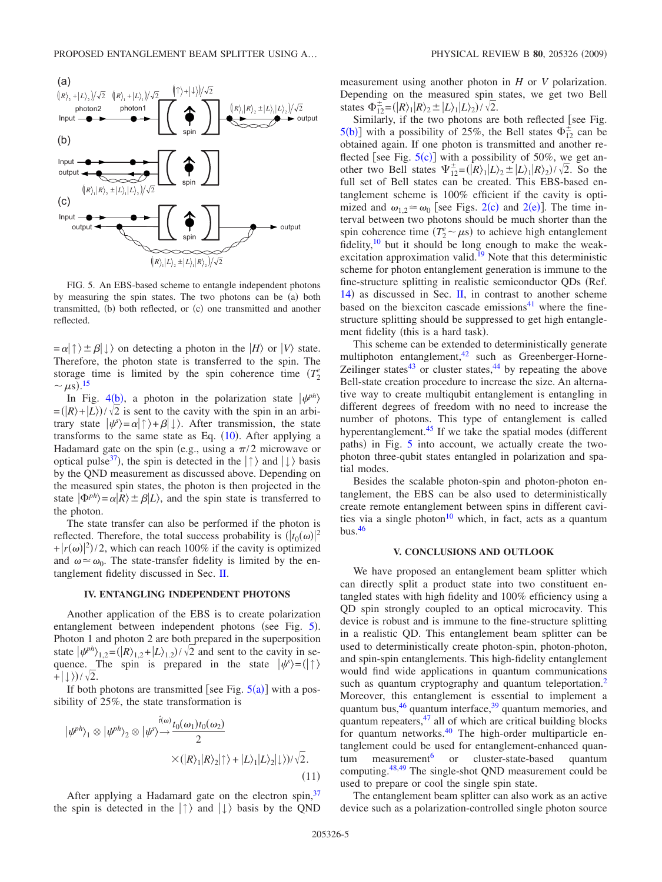<span id="page-4-1"></span>

FIG. 5. An EBS-based scheme to entangle independent photons by measuring the spin states. The two photons can be (a) both transmitted, (b) both reflected, or (c) one transmitted and another reflected.

 $= \alpha | \uparrow \rangle \pm \beta | \downarrow \rangle$  on detecting a photon in the *H* $\rangle$  or *V* $\rangle$  state. Therefore, the photon state is transferred to the spin. The storage time is limited by the spin coherence time  $(T_2^e)$  $\sim \mu s$ ).<sup>[15](#page-5-15)</sup>

In Fig. [4](#page-3-2)(b), a photon in the polarization state  $|\psi^{ph}\rangle$  $= (R) + (L) / \sqrt{2}$  is sent to the cavity with the spin in an arbitrary state  $|\psi\rangle = \alpha |\uparrow\rangle + \beta |\downarrow\rangle$ . After transmission, the state transforms to the same state as Eq.  $(10)$  $(10)$  $(10)$ . After applying a Hadamard gate on the spin (e.g., using a  $\pi/2$  microwave or optical pulse<sup>37</sup>), the spin is detected in the  $|\uparrow\rangle$  and  $|\downarrow\rangle$  basis by the QND measurement as discussed above. Depending on the measured spin states, the photon is then projected in the state  $|\Phi^{ph}\rangle = \alpha |R\rangle \pm \beta |L\rangle$ , and the spin state is transferred to the photon.

The state transfer can also be performed if the photon is reflected. Therefore, the total success probability is  $(|t_0(\omega)|^2)$  $+|r(\omega)|^2$ /2, which can reach 100% if the cavity is optimized and  $\omega \approx \omega_0$ . The state-transfer fidelity is limited by the entanglement fidelity discussed in Sec. [II.](#page-1-0)

#### **IV. ENTANGLING INDEPENDENT PHOTONS**

<span id="page-4-0"></span>Another application of the EBS is to create polarization entanglement between independent photons (see Fig. [5](#page-4-1)). Photon 1 and photon 2 are both prepared in the superposition state  $|\psi^{ph}|_{1,2} = (|R|)_{1,2} + |L|_{1,2}) / \sqrt{2}$  and sent to the cavity in sequence. The spin is prepared in the state  $|\psi\rangle = (|\uparrow\rangle)$ + $|\downarrow\rangle$ )/ $\sqrt{2}$ .

If both photons are transmitted [see Fig.  $5(a)$  $5(a)$ ] with a possibility of 25%, the state transformation is

$$
|\psi^{ph}\rangle_1 \otimes |\psi^{ph}\rangle_2 \otimes |\psi^{f_0} \rangle \rightarrow \frac{i\omega_1}{2} \times (|R\rangle_1 |R\rangle_2 |\uparrow\rangle + |L\rangle_1 |L\rangle_2 |\downarrow\rangle)/\sqrt{2}. \tag{11}
$$

After applying a Hadamard gate on the electron spin, 37 the spin is detected in the  $|\uparrow\rangle$  and  $|\downarrow\rangle$  basis by the QND measurement using another photon in *H* or *V* polarization. Depending on the measured spin states, we get two Bell states  $\Phi_{12}^{\pm} = (|R\rangle_1 |R\rangle_2 \pm |L\rangle_1 |L\rangle_2) / \sqrt{2}$ .

Similarly, if the two photons are both reflected [see Fig.  $5(b)$  $5(b)$ ] with a possibility of 25%, the Bell states  $\Phi_{12}^{\pm}$  can be obtained again. If one photon is transmitted and another reflected [see Fig.  $5(c)$  $5(c)$ ] with a possibility of 50%, we get another two Bell states  $\Psi_{12}^{\pm} = (R)_{1} |L\rangle_{2} \pm |L\rangle_{1} |R\rangle_{2}) / \sqrt{2}$ . So the full set of Bell states can be created. This EBS-based entanglement scheme is 100% efficient if the cavity is optimized and  $\omega_{1,2} \approx \omega_0$  $\omega_{1,2} \approx \omega_0$  $\omega_{1,2} \approx \omega_0$  [see Figs. 2(c) and 2(e)]. The time interval between two photons should be much shorter than the spin coherence time  $(T_2^e \sim \mu s)$  to achieve high entanglement fidelity, $\frac{10}{10}$  but it should be long enough to make the weakexcitation approximation valid.<sup>19</sup> Note that this deterministic scheme for photon entanglement generation is immune to the fine-structure splitting in realistic semiconductor QDs (Ref. [14](#page-5-14)) as discussed in Sec. [II,](#page-1-0) in contrast to another scheme based on the biexciton cascade emissions $41$  where the finestructure splitting should be suppressed to get high entanglement fidelity (this is a hard task).

This scheme can be extended to deterministically generate multiphoton entanglement, $42$  such as Greenberger-Horne-Zeilinger states $43$  or cluster states, $44$  by repeating the above Bell-state creation procedure to increase the size. An alternative way to create multiqubit entanglement is entangling in different degrees of freedom with no need to increase the number of photons. This type of entanglement is called hyperentanglement. $45$  If we take the spatial modes (different paths) in Fig. [5](#page-4-1) into account, we actually create the twophoton three-qubit states entangled in polarization and spatial modes.

Besides the scalable photon-spin and photon-photon entanglement, the EBS can be also used to deterministically create remote entanglement between spins in different cavities via a single photon<sup>10</sup> which, in fact, acts as a quantum bus. $46$ 

#### **V. CONCLUSIONS AND OUTLOOK**

We have proposed an entanglement beam splitter which can directly split a product state into two constituent entangled states with high fidelity and 100% efficiency using a QD spin strongly coupled to an optical microcavity. This device is robust and is immune to the fine-structure splitting in a realistic QD. This entanglement beam splitter can be used to deterministically create photon-spin, photon-photon, and spin-spin entanglements. This high-fidelity entanglement would find wide applications in quantum communications such as quantum cryptography and quantum teleportation.<sup>2</sup> Moreover, this entanglement is essential to implement a quantum bus,  $46$  quantum interface,  $39$  quantum memories, and quantum repeaters, $47$  all of which are critical building blocks for quantum networks.<sup>40</sup> The high-order multiparticle entanglement could be used for entanglement-enhanced quantum measurement<sup>6</sup> or cluster-state-based quantum computing[.48,](#page-6-22)[49](#page-6-23) The single-shot QND measurement could be used to prepare or cool the single spin state.

The entanglement beam splitter can also work as an active device such as a polarization-controlled single photon source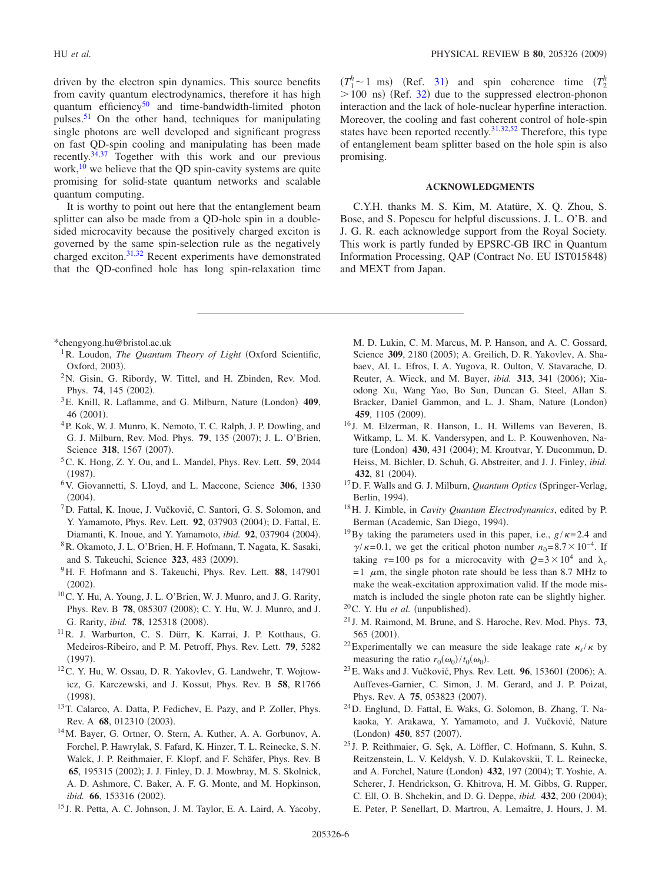driven by the electron spin dynamics. This source benefits from cavity quantum electrodynamics, therefore it has high quantum efficiency<sup>50</sup> and time-bandwidth-limited photon pulses.<sup>51</sup> On the other hand, techniques for manipulating single photons are well developed and significant progress on fast QD-spin cooling and manipulating has been made recently[.34](#page-6-8)[,37](#page-6-11) Together with this work and our previous work, $10$  we believe that the QD spin-cavity systems are quite promising for solid-state quantum networks and scalable quantum computing.

It is worthy to point out here that the entanglement beam splitter can also be made from a QD-hole spin in a doublesided microcavity because the positively charged exciton is governed by the same spin-selection rule as the negatively charged exciton[.31](#page-6-5)[,32](#page-6-6) Recent experiments have demonstrated that the QD-confined hole has long spin-relaxation time

 $(T_1^h \sim 1 \text{ ms})$  (Ref. [31](#page-6-5)) and spin coherence time  $(T_2^h$  $>$  100 ns) (Ref. [32](#page-6-6)) due to the suppressed electron-phonon interaction and the lack of hole-nuclear hyperfine interaction. Moreover, the cooling and fast coherent control of hole-spin states have been reported recently.<sup>31,[32,](#page-6-6)[52](#page-6-26)</sup> Therefore, this type of entanglement beam splitter based on the hole spin is also promising.

## **ACKNOWLEDGMENTS**

C.Y.H. thanks M. S. Kim, M. Atatüre, X. Q. Zhou, S. Bose, and S. Popescu for helpful discussions. J. L. O'B. and J. G. R. each acknowledge support from the Royal Society. This work is partly funded by EPSRC-GB IRC in Quantum Information Processing, OAP (Contract No. EU IST015848) and MEXT from Japan.

<span id="page-5-0"></span>\*chengyong.hu@bristol.ac.uk

- <span id="page-5-1"></span><sup>1</sup>R. Loudon, *The Quantum Theory of Light* (Oxford Scientific, Oxford, 2003).
- <span id="page-5-2"></span><sup>2</sup>N. Gisin, G. Ribordy, W. Tittel, and H. Zbinden, Rev. Mod. Phys. **74**, 145 (2002).
- <span id="page-5-3"></span><sup>3</sup>E. Knill, R. Laflamme, and G. Milburn, Nature (London) 409, 46 (2001).
- <span id="page-5-4"></span>4P. Kok, W. J. Munro, K. Nemoto, T. C. Ralph, J. P. Dowling, and G. J. Milburn, Rev. Mod. Phys. **79**, 135 (2007); J. L. O'Brien, Science 318, 1567 (2007).
- <span id="page-5-5"></span>5C. K. Hong, Z. Y. Ou, and L. Mandel, Phys. Rev. Lett. **59**, 2044  $(1987).$
- <span id="page-5-6"></span>6V. Giovannetti, S. LIoyd, and L. Maccone, Science **306**, 1330  $(2004).$
- <span id="page-5-7"></span>7D. Fattal, K. Inoue, J. Vučković, C. Santori, G. S. Solomon, and Y. Yamamoto, Phys. Rev. Lett. **92**, 037903 (2004); D. Fattal, E. Diamanti, K. Inoue, and Y. Yamamoto, *ibid.* 92, 037904 (2004).
- <span id="page-5-8"></span>8R. Okamoto, J. L. O'Brien, H. F. Hofmann, T. Nagata, K. Sasaki, and S. Takeuchi, Science 323, 483 (2009).
- <span id="page-5-9"></span>9H. F. Hofmann and S. Takeuchi, Phys. Rev. Lett. **88**, 147901  $(2002).$
- <span id="page-5-10"></span>10C. Y. Hu, A. Young, J. L. O'Brien, W. J. Munro, and J. G. Rarity, Phys. Rev. B 78, 085307 (2008); C. Y. Hu, W. J. Munro, and J. G. Rarity, *ibid.* **78**, 125318 (2008).
- <span id="page-5-11"></span>11R. J. Warburton, C. S. Dürr, K. Karrai, J. P. Kotthaus, G. Medeiros-Ribeiro, and P. M. Petroff, Phys. Rev. Lett. **79**, 5282  $(1997).$
- <span id="page-5-12"></span>12C. Y. Hu, W. Ossau, D. R. Yakovlev, G. Landwehr, T. Wojtowicz, G. Karczewski, and J. Kossut, Phys. Rev. B **58**, R1766  $(1998).$
- <span id="page-5-13"></span>13T. Calarco, A. Datta, P. Fedichev, E. Pazy, and P. Zoller, Phys. Rev. A 68, 012310 (2003).
- <span id="page-5-14"></span>14M. Bayer, G. Ortner, O. Stern, A. Kuther, A. A. Gorbunov, A. Forchel, P. Hawrylak, S. Fafard, K. Hinzer, T. L. Reinecke, S. N. Walck, J. P. Reithmaier, F. Klopf, and F. Schäfer, Phys. Rev. B 65, 195315 (2002); J. J. Finley, D. J. Mowbray, M. S. Skolnick, A. D. Ashmore, C. Baker, A. F. G. Monte, and M. Hopkinson, ibid. **66**, 153316 (2002).
- <span id="page-5-15"></span><sup>15</sup> J. R. Petta, A. C. Johnson, J. M. Taylor, E. A. Laird, A. Yacoby,

<span id="page-5-19"></span>M. D. Lukin, C. M. Marcus, M. P. Hanson, and A. C. Gossard, Science 309, 2180 (2005); A. Greilich, D. R. Yakovlev, A. Shabaev, Al. L. Efros, I. A. Yugova, R. Oulton, V. Stavarache, D. Reuter, A. Wieck, and M. Bayer, *ibid*. **313**, 341 (2006); Xiaodong Xu, Wang Yao, Bo Sun, Duncan G. Steel, Allan S. Bracker, Daniel Gammon, and L. J. Sham, Nature (London) **459**, 1105 (2009).

- <span id="page-5-16"></span><sup>16</sup> J. M. Elzerman, R. Hanson, L. H. Willems van Beveren, B. Witkamp, L. M. K. Vandersypen, and L. P. Kouwenhoven, Nature (London) **430**, 431 (2004); M. Kroutvar, Y. Ducommun, D. Heiss, M. Bichler, D. Schuh, G. Abstreiter, and J. J. Finley, *ibid.* 432, 81 (2004).
- <span id="page-5-17"></span><sup>17</sup>D. F. Walls and G. J. Milburn, *Quantum Optics* (Springer-Verlag, Berlin, 1994).
- <span id="page-5-18"></span>18H. J. Kimble, in *Cavity Quantum Electrodynamics*, edited by P. Berman (Academic, San Diego, 1994).
- <sup>19</sup>By taking the parameters used in this paper, i.e.,  $g/\kappa=2.4$  and  $\gamma/\kappa=0.1$ , we get the critical photon number  $n_0=8.7\times10^{-4}$ . If taking  $\tau=100$  ps for a microcavity with  $Q=3\times10^4$  and  $\lambda_c$  $=1$   $\mu$ m, the single photon rate should be less than 8.7 MHz to make the weak-excitation approximation valid. If the mode mismatch is included the single photon rate can be slightly higher.
- <span id="page-5-20"></span> $^{20}$ C. Y. Hu *et al.* (unpublished).
- <span id="page-5-21"></span><sup>21</sup> J. M. Raimond, M. Brune, and S. Haroche, Rev. Mod. Phys. **73**, 565 (2001).
- <span id="page-5-22"></span><sup>22</sup>Experimentally we can measure the side leakage rate  $\kappa_s / \kappa$  by measuring the ratio  $r_0(\omega_0)/t_0(\omega_0)$ .
- <span id="page-5-23"></span><sup>23</sup> E. Waks and J. Vučković, Phys. Rev. Lett. **96**, 153601 (2006); A. Auffeves-Garnier, C. Simon, J. M. Gerard, and J. P. Poizat, Phys. Rev. A **75**, 053823 (2007).
- <span id="page-5-24"></span>24D. Englund, D. Fattal, E. Waks, G. Solomon, B. Zhang, T. Nakaoka, Y. Arakawa, Y. Yamamoto, and J. Vučković, Nature (London) 450, 857 (2007).
- <span id="page-5-25"></span><sup>25</sup> J. P. Reithmaier, G. Sęk, A. Löffler, C. Hofmann, S. Kuhn, S. Reitzenstein, L. V. Keldysh, V. D. Kulakovskii, T. L. Reinecke, and A. Forchel, Nature (London) 432, 197 (2004); T. Yoshie, A. Scherer, J. Hendrickson, G. Khitrova, H. M. Gibbs, G. Rupper, C. Ell, O. B. Shchekin, and D. G. Deppe, *ibid.* 432, 200 (2004); E. Peter, P. Senellart, D. Martrou, A. Lemaître, J. Hours, J. M.